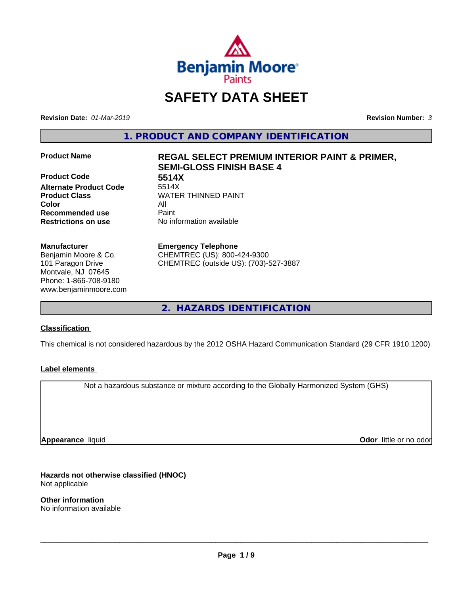

# **SAFETY DATA SHEET**

**Revision Date:** *01-Mar-2019* **Revision Number:** *3*

**1. PRODUCT AND COMPANY IDENTIFICATION**

**Product Code 5514X Alternate Product Code Color** All **Recommended use** Paint **Restrictions on use** No information available

### **Manufacturer**

Benjamin Moore & Co. 101 Paragon Drive Montvale, NJ 07645 Phone: 1-866-708-9180 www.benjaminmoore.com

# **Product Name REGAL SELECT PREMIUM INTERIOR PAINT & PRIMER, SEMI-GLOSS FINISH BASE 4**

**Product Class WATER THINNED PAINT** 

**Emergency Telephone**

CHEMTREC (US): 800-424-9300 CHEMTREC (outside US): (703)-527-3887

**2. HAZARDS IDENTIFICATION**

### **Classification**

This chemical is not considered hazardous by the 2012 OSHA Hazard Communication Standard (29 CFR 1910.1200)

### **Label elements**

Not a hazardous substance or mixture according to the Globally Harmonized System (GHS)

**Appearance** liquid

**Odor** little or no odor

**Hazards not otherwise classified (HNOC)** Not applicable

**Other information** No information available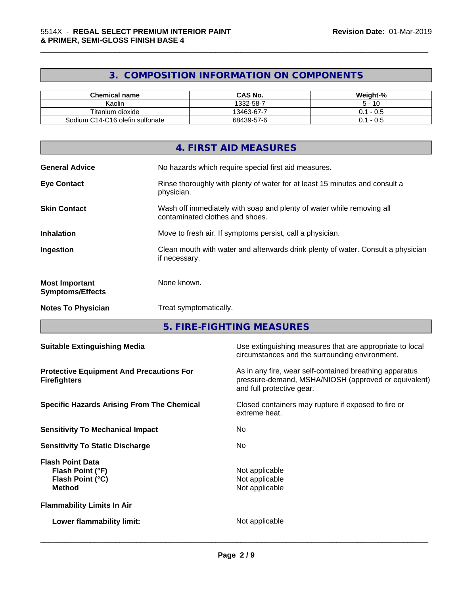# **3. COMPOSITION INFORMATION ON COMPONENTS**

\_\_\_\_\_\_\_\_\_\_\_\_\_\_\_\_\_\_\_\_\_\_\_\_\_\_\_\_\_\_\_\_\_\_\_\_\_\_\_\_\_\_\_\_\_\_\_\_\_\_\_\_\_\_\_\_\_\_\_\_\_\_\_\_\_\_\_\_\_\_\_\_\_\_\_\_\_\_\_\_\_\_\_\_\_\_\_\_\_\_\_\_\_

| <b>Chemical name</b>            | <b>CAS No.</b> | Weight-%         |
|---------------------------------|----------------|------------------|
| Kaolin                          | 1332-58-7      | · 10             |
| Titanium dioxide                | 13463-67-7     | -<br>- U.5<br>υ. |
| Sodium C14-C16 olefin sulfonate | 68439-57-6     | $-0.5$<br>υ.     |

|                                                  | 4. FIRST AID MEASURES                                                                                    |
|--------------------------------------------------|----------------------------------------------------------------------------------------------------------|
| <b>General Advice</b>                            | No hazards which require special first aid measures.                                                     |
| <b>Eye Contact</b>                               | Rinse thoroughly with plenty of water for at least 15 minutes and consult a<br>physician.                |
| <b>Skin Contact</b>                              | Wash off immediately with soap and plenty of water while removing all<br>contaminated clothes and shoes. |
| <b>Inhalation</b>                                | Move to fresh air. If symptoms persist, call a physician.                                                |
| Ingestion                                        | Clean mouth with water and afterwards drink plenty of water. Consult a physician<br>if necessary.        |
| <b>Most Important</b><br><b>Symptoms/Effects</b> | None known.                                                                                              |
| <b>Notes To Physician</b>                        | Treat symptomatically.                                                                                   |

**5. FIRE-FIGHTING MEASURES**

| <b>Suitable Extinguishing Media</b>                                              | Use extinguishing measures that are appropriate to local<br>circumstances and the surrounding environment.                                   |
|----------------------------------------------------------------------------------|----------------------------------------------------------------------------------------------------------------------------------------------|
| <b>Protective Equipment And Precautions For</b><br><b>Firefighters</b>           | As in any fire, wear self-contained breathing apparatus<br>pressure-demand, MSHA/NIOSH (approved or equivalent)<br>and full protective gear. |
| <b>Specific Hazards Arising From The Chemical</b>                                | Closed containers may rupture if exposed to fire or<br>extreme heat.                                                                         |
| <b>Sensitivity To Mechanical Impact</b>                                          | No.                                                                                                                                          |
| <b>Sensitivity To Static Discharge</b>                                           | No.                                                                                                                                          |
| <b>Flash Point Data</b><br>Flash Point (°F)<br>Flash Point (°C)<br><b>Method</b> | Not applicable<br>Not applicable<br>Not applicable                                                                                           |
| <b>Flammability Limits In Air</b>                                                |                                                                                                                                              |
| Lower flammability limit:                                                        | Not applicable                                                                                                                               |
|                                                                                  |                                                                                                                                              |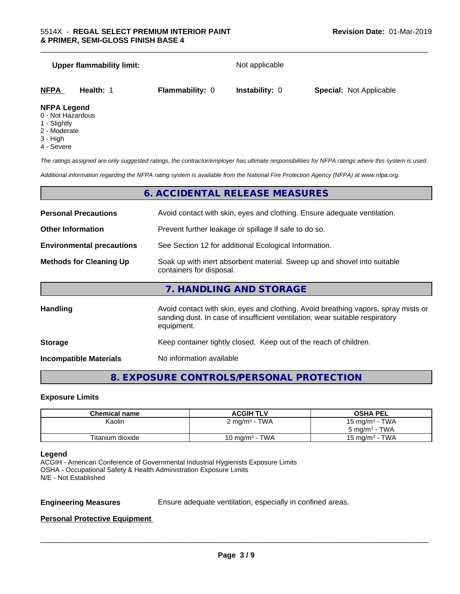| <b>Upper flammability limit:</b>                        |                        | Not applicable        |                                |
|---------------------------------------------------------|------------------------|-----------------------|--------------------------------|
| NFPA<br>Health: 1                                       | <b>Flammability: 0</b> | <b>Instability: 0</b> | <b>Special: Not Applicable</b> |
| <b>NFPA Legend</b><br>0 - Not Hazardous<br>1 - Slightly |                        |                       |                                |

- 2 Moderate
- 3 High
- 4 Severe

*The ratings assigned are only suggested ratings, the contractor/employer has ultimate responsibilities for NFPA ratings where this system is used.*

*Additional information regarding the NFPA rating system is available from the National Fire Protection Agency (NFPA) at www.nfpa.org.*

### **6. ACCIDENTAL RELEASE MEASURES**

| <b>Personal Precautions</b>      | Avoid contact with skin, eyes and clothing. Ensure adequate ventilation.                                                                                                         |  |  |
|----------------------------------|----------------------------------------------------------------------------------------------------------------------------------------------------------------------------------|--|--|
| <b>Other Information</b>         | Prevent further leakage or spillage if safe to do so.                                                                                                                            |  |  |
| <b>Environmental precautions</b> | See Section 12 for additional Ecological Information.                                                                                                                            |  |  |
| <b>Methods for Cleaning Up</b>   | Soak up with inert absorbent material. Sweep up and shovel into suitable<br>containers for disposal.                                                                             |  |  |
|                                  | 7. HANDLING AND STORAGE                                                                                                                                                          |  |  |
| Handling                         | Avoid contact with skin, eyes and clothing. Avoid breathing vapors, spray mists or<br>sanding dust. In case of insufficient ventilation, wear suitable respiratory<br>equipment. |  |  |
| <b>Storage</b>                   | Keep container tightly closed. Keep out of the reach of children.                                                                                                                |  |  |

**Incompatible Materials** No information available

# **8. EXPOSURE CONTROLS/PERSONAL PROTECTION**

### **Exposure Limits**

| <b>Chemical name</b> | <b>ACGIH TLV</b>           | <b>OSHA PEL</b>          |
|----------------------|----------------------------|--------------------------|
| Kaolin               | $2 \text{ mg/m}^3$ - TWA   | 15 mg/m $3$ - TWA        |
|                      |                            | $5 \text{ mg/m}^3$ - TWA |
| Titanium dioxide     | 10 mg/m <sup>3</sup> - TWA | 15 mg/m $3$ - TWA        |

### **Legend**

ACGIH - American Conference of Governmental Industrial Hygienists Exposure Limits OSHA - Occupational Safety & Health Administration Exposure Limits N/E - Not Established

**Engineering Measures** Ensure adequate ventilation, especially in confined areas.

 $\overline{\phantom{a}}$  ,  $\overline{\phantom{a}}$  ,  $\overline{\phantom{a}}$  ,  $\overline{\phantom{a}}$  ,  $\overline{\phantom{a}}$  ,  $\overline{\phantom{a}}$  ,  $\overline{\phantom{a}}$  ,  $\overline{\phantom{a}}$  ,  $\overline{\phantom{a}}$  ,  $\overline{\phantom{a}}$  ,  $\overline{\phantom{a}}$  ,  $\overline{\phantom{a}}$  ,  $\overline{\phantom{a}}$  ,  $\overline{\phantom{a}}$  ,  $\overline{\phantom{a}}$  ,  $\overline{\phantom{a}}$ 

### **Personal Protective Equipment**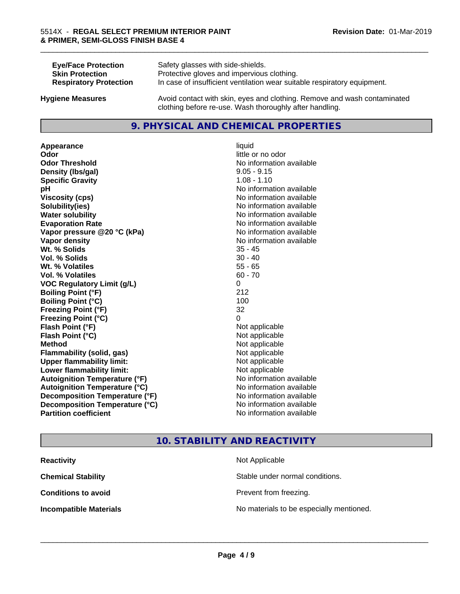| <b>Eye/Face Protection</b>    | Safety glasses with side-shields.                                        |
|-------------------------------|--------------------------------------------------------------------------|
| <b>Skin Protection</b>        | Protective gloves and impervious clothing.                               |
| <b>Respiratory Protection</b> | In case of insufficient ventilation wear suitable respiratory equipment. |
| <b>Hygiene Measures</b>       | Avoid contact with skin, eyes and clothing. Remove and wash contaminated |

### **9. PHYSICAL AND CHEMICAL PROPERTIES**

clothing before re-use. Wash thoroughly after handling.

**Appearance** liquid **Odor** little or no odor **Odor Threshold No information available No information available Density (Ibs/gal)** 9.05 - 9.15 **Specific Gravity** 1.08 - 1.10 **pH** No information available **Viscosity (cps)** No information available **Solubility(ies)** No information available **Water solubility Water solubility Water solubility Water solubility Water solubility Water solution Evaporation Rate No information available No information available Vapor pressure @20 °C (kPa)** No information available **Vapor density Vapor density No information available Wt. % Solids** 35 - 45 **Vol. % Solids** 30 - 40 **Wt. % Volatiles** 55 - 65 **Vol. % Volatiles** 60 - 70 **VOC Regulatory Limit (g/L)** 0 **Boiling Point (°F)** 212 **Boiling Point (°C)** 100 **Freezing Point (°F)** 32 **Freezing Point (°C)** 0 **Flash Point (°F)** Not applicable **Flash Point (°C)** Not applicable **Method** Not applicable **Flammability (solid, gas)** Not applicable **Upper flammability limit:** Not applicable **Lower flammability limit:** Not applicable **Autoignition Temperature (°F)** No information available **Autoignition Temperature (°C)** No information available **Decomposition Temperature (°F)** No information available **Decomposition Temperature (°C)**<br> **Partition coefficient Partition coefficient 1 Partition available No information available** 

# **No information available**

\_\_\_\_\_\_\_\_\_\_\_\_\_\_\_\_\_\_\_\_\_\_\_\_\_\_\_\_\_\_\_\_\_\_\_\_\_\_\_\_\_\_\_\_\_\_\_\_\_\_\_\_\_\_\_\_\_\_\_\_\_\_\_\_\_\_\_\_\_\_\_\_\_\_\_\_\_\_\_\_\_\_\_\_\_\_\_\_\_\_\_\_\_

### **10. STABILITY AND REACTIVITY**

| <b>Reactivity</b>             | Not Applicable                           |
|-------------------------------|------------------------------------------|
| <b>Chemical Stability</b>     | Stable under normal conditions.          |
| <b>Conditions to avoid</b>    | Prevent from freezing.                   |
| <b>Incompatible Materials</b> | No materials to be especially mentioned. |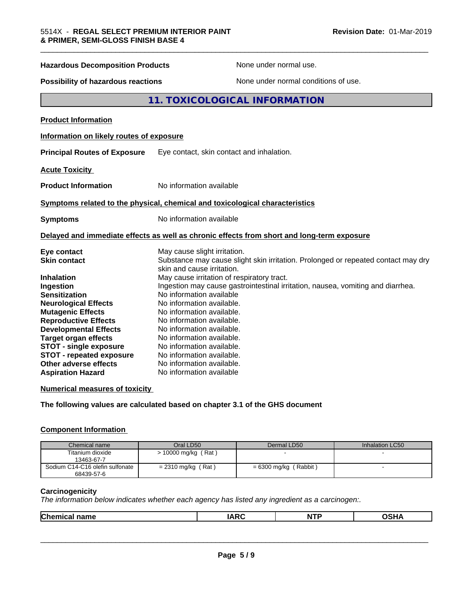| <b>Hazardous Decomposition Products</b>   | None under normal use.                                                                                          |
|-------------------------------------------|-----------------------------------------------------------------------------------------------------------------|
| <b>Possibility of hazardous reactions</b> | None under normal conditions of use.                                                                            |
|                                           | 11. TOXICOLOGICAL INFORMATION                                                                                   |
| <b>Product Information</b>                |                                                                                                                 |
| Information on likely routes of exposure  |                                                                                                                 |
| <b>Principal Routes of Exposure</b>       | Eye contact, skin contact and inhalation.                                                                       |
| <b>Acute Toxicity</b>                     |                                                                                                                 |
| <b>Product Information</b>                | No information available                                                                                        |
|                                           | Symptoms related to the physical, chemical and toxicological characteristics                                    |
| <b>Symptoms</b>                           | No information available                                                                                        |
|                                           | Delayed and immediate effects as well as chronic effects from short and long-term exposure                      |
| Eye contact                               | May cause slight irritation.                                                                                    |
| <b>Skin contact</b>                       | Substance may cause slight skin irritation. Prolonged or repeated contact may dry<br>skin and cause irritation. |
| <b>Inhalation</b>                         | May cause irritation of respiratory tract.                                                                      |
| Ingestion                                 | Ingestion may cause gastrointestinal irritation, nausea, vomiting and diarrhea.                                 |
| <b>Sensitization</b>                      | No information available                                                                                        |
| <b>Neurological Effects</b>               | No information available.                                                                                       |
| <b>Mutagenic Effects</b>                  | No information available.                                                                                       |
| <b>Reproductive Effects</b>               | No information available.                                                                                       |
| <b>Developmental Effects</b>              | No information available.                                                                                       |
| <b>Target organ effects</b>               | No information available.                                                                                       |
| <b>STOT - single exposure</b>             | No information available.                                                                                       |
| <b>STOT - repeated exposure</b>           | No information available.                                                                                       |
| Other adverse effects                     | No information available.                                                                                       |

### **Numerical measures of toxicity**

**Aspiration Hazard** No information available

**The following values are calculated based on chapter 3.1 of the GHS document**

### **Component Information**

| Chemical name                   | Oral LD50            | Dermal LD50             | Inhalation LC50 |
|---------------------------------|----------------------|-------------------------|-----------------|
| Titanium dioxide                | > 10000 mg/kg (Rat)  |                         |                 |
| 13463-67-7                      |                      |                         |                 |
| Sodium C14-C16 olefin sulfonate | $= 2310$ mg/kg (Rat) | $= 6300$ mg/kg (Rabbit) |                 |
| 68439-57-6                      |                      |                         |                 |

### **Carcinogenicity**

*The information below indicateswhether each agency has listed any ingredient as a carcinogen:.*

|--|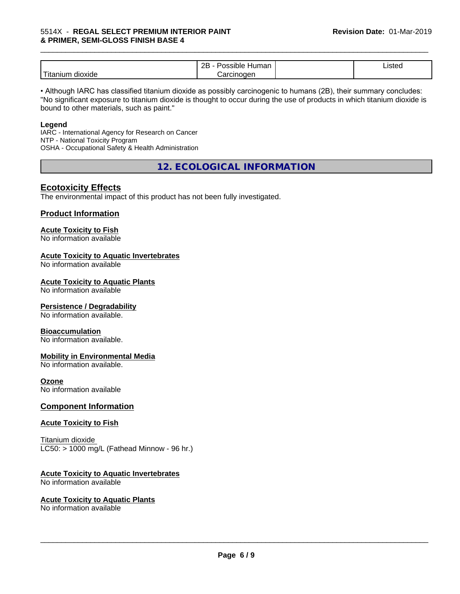|                            | ם ה<br>-<br>⊣umar<br>`sıble′<br>. .<br><br>ᅩ | $\cdot$<br>Listed |  |
|----------------------------|----------------------------------------------|-------------------|--|
| .<br>dioxide<br>. Hitaniur | ∴arcınoαer                                   |                   |  |

• Although IARC has classified titanium dioxide as possibly carcinogenic to humans (2B), their summary concludes: "No significant exposure to titanium dioxide is thought to occur during the use of products in which titanium dioxide is bound to other materials, such as paint."

### **Legend**

IARC - International Agency for Research on Cancer NTP - National Toxicity Program OSHA - Occupational Safety & Health Administration

**12. ECOLOGICAL INFORMATION**

### **Ecotoxicity Effects**

The environmental impact of this product has not been fully investigated.

### **Product Information**

### **Acute Toxicity to Fish**

No information available

### **Acute Toxicity to Aquatic Invertebrates**

No information available

### **Acute Toxicity to Aquatic Plants**

No information available

### **Persistence / Degradability**

No information available.

### **Bioaccumulation**

No information available.

### **Mobility in Environmental Media**

No information available.

### **Ozone**

No information available

### **Component Information**

### **Acute Toxicity to Fish**

Titanium dioxide  $LC50:$  > 1000 mg/L (Fathead Minnow - 96 hr.)

### **Acute Toxicity to Aquatic Invertebrates**

No information available

### **Acute Toxicity to Aquatic Plants**

No information available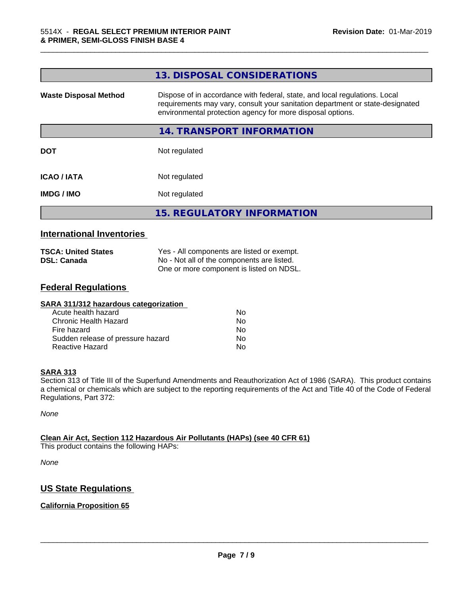| 13. DISPOSAL CONSIDERATIONS                                                                                                                                                                                               |
|---------------------------------------------------------------------------------------------------------------------------------------------------------------------------------------------------------------------------|
| Dispose of in accordance with federal, state, and local regulations. Local<br>requirements may vary, consult your sanitation department or state-designated<br>environmental protection agency for more disposal options. |
| 14. TRANSPORT INFORMATION                                                                                                                                                                                                 |
| Not regulated                                                                                                                                                                                                             |
| Not regulated                                                                                                                                                                                                             |
| Not regulated                                                                                                                                                                                                             |
| <b>15. REGULATORY INFORMATION</b>                                                                                                                                                                                         |
|                                                                                                                                                                                                                           |

# **International Inventories**

| <b>TSCA: United States</b> | Yes - All components are listed or exempt. |
|----------------------------|--------------------------------------------|
| <b>DSL: Canada</b>         | No - Not all of the components are listed. |
|                            | One or more component is listed on NDSL.   |

# **Federal Regulations**

| SARA 311/312 hazardous categorization |    |  |
|---------------------------------------|----|--|
| Acute health hazard                   | Nο |  |
| Chronic Health Hazard                 | No |  |
| Fire hazard                           | No |  |
| Sudden release of pressure hazard     | Nο |  |
| Reactive Hazard                       | No |  |

### **SARA 313**

Section 313 of Title III of the Superfund Amendments and Reauthorization Act of 1986 (SARA). This product contains a chemical or chemicals which are subject to the reporting requirements of the Act and Title 40 of the Code of Federal Regulations, Part 372:

*None*

### **Clean Air Act,Section 112 Hazardous Air Pollutants (HAPs) (see 40 CFR 61)**

This product contains the following HAPs:

*None*

# **US State Regulations**

### **California Proposition 65**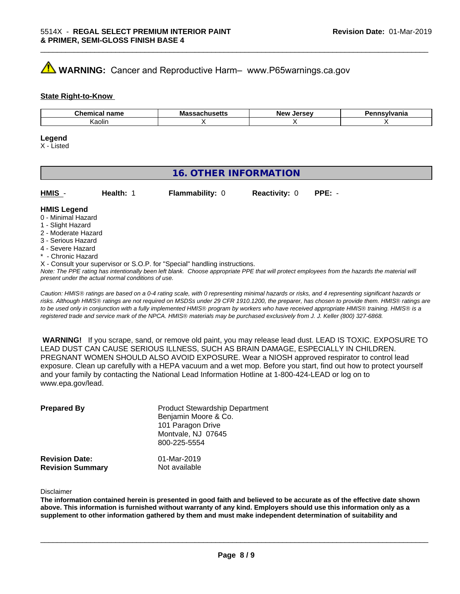# **WARNING:** Cancer and Reproductive Harm– www.P65warnings.ca.gov

### **State Right-to-Know**

| $\sim$<br>----<br>$\cdots$<br>∵ ⊓amc<br>.<br>uu | M -<br>ша:<br>ləc u. | <b>OFCAU</b><br><b>Nev</b><br><br>$-1$ | . |
|-------------------------------------------------|----------------------|----------------------------------------|---|
| Kaolin                                          |                      |                                        |   |

\_\_\_\_\_\_\_\_\_\_\_\_\_\_\_\_\_\_\_\_\_\_\_\_\_\_\_\_\_\_\_\_\_\_\_\_\_\_\_\_\_\_\_\_\_\_\_\_\_\_\_\_\_\_\_\_\_\_\_\_\_\_\_\_\_\_\_\_\_\_\_\_\_\_\_\_\_\_\_\_\_\_\_\_\_\_\_\_\_\_\_\_\_

### **Legend**

X - Listed

# **16. OTHER INFORMATION**

| HMIS | Health: | <b>Flammability: 0</b> | <b>Reactivity: 0 PPE: -</b> |  |
|------|---------|------------------------|-----------------------------|--|
|      |         |                        |                             |  |

### **HMIS Legend**

- 0 Minimal Hazard
- 1 Slight Hazard
- 2 Moderate Hazard
- 3 Serious Hazard
- 4 Severe Hazard
- \* Chronic Hazard
- X Consult your supervisor or S.O.P. for "Special" handling instructions.

*Note: The PPE rating has intentionally been left blank. Choose appropriate PPE that will protect employees from the hazards the material will present under the actual normal conditions of use.*

*Caution: HMISÒ ratings are based on a 0-4 rating scale, with 0 representing minimal hazards or risks, and 4 representing significant hazards or risks. Although HMISÒ ratings are not required on MSDSs under 29 CFR 1910.1200, the preparer, has chosen to provide them. HMISÒ ratings are to be used only in conjunction with a fully implemented HMISÒ program by workers who have received appropriate HMISÒ training. HMISÒ is a registered trade and service mark of the NPCA. HMISÒ materials may be purchased exclusively from J. J. Keller (800) 327-6868.*

 **WARNING!** If you scrape, sand, or remove old paint, you may release lead dust. LEAD IS TOXIC. EXPOSURE TO LEAD DUST CAN CAUSE SERIOUS ILLNESS, SUCH AS BRAIN DAMAGE, ESPECIALLY IN CHILDREN. PREGNANT WOMEN SHOULD ALSO AVOID EXPOSURE.Wear a NIOSH approved respirator to control lead exposure. Clean up carefully with a HEPA vacuum and a wet mop. Before you start, find out how to protect yourself and your family by contacting the National Lead Information Hotline at 1-800-424-LEAD or log on to www.epa.gov/lead.

| <b>Prepared By</b>                               | <b>Product Stewardship Department</b><br>Benjamin Moore & Co.<br>101 Paragon Drive<br>Montvale, NJ 07645<br>800-225-5554 |  |
|--------------------------------------------------|--------------------------------------------------------------------------------------------------------------------------|--|
| <b>Revision Date:</b><br><b>Revision Summary</b> | 01-Mar-2019<br>Not available                                                                                             |  |

Disclaimer

The information contained herein is presented in good faith and believed to be accurate as of the effective date shown above. This information is furnished without warranty of any kind. Employers should use this information only as a **supplement to other information gathered by them and must make independent determination of suitability and**